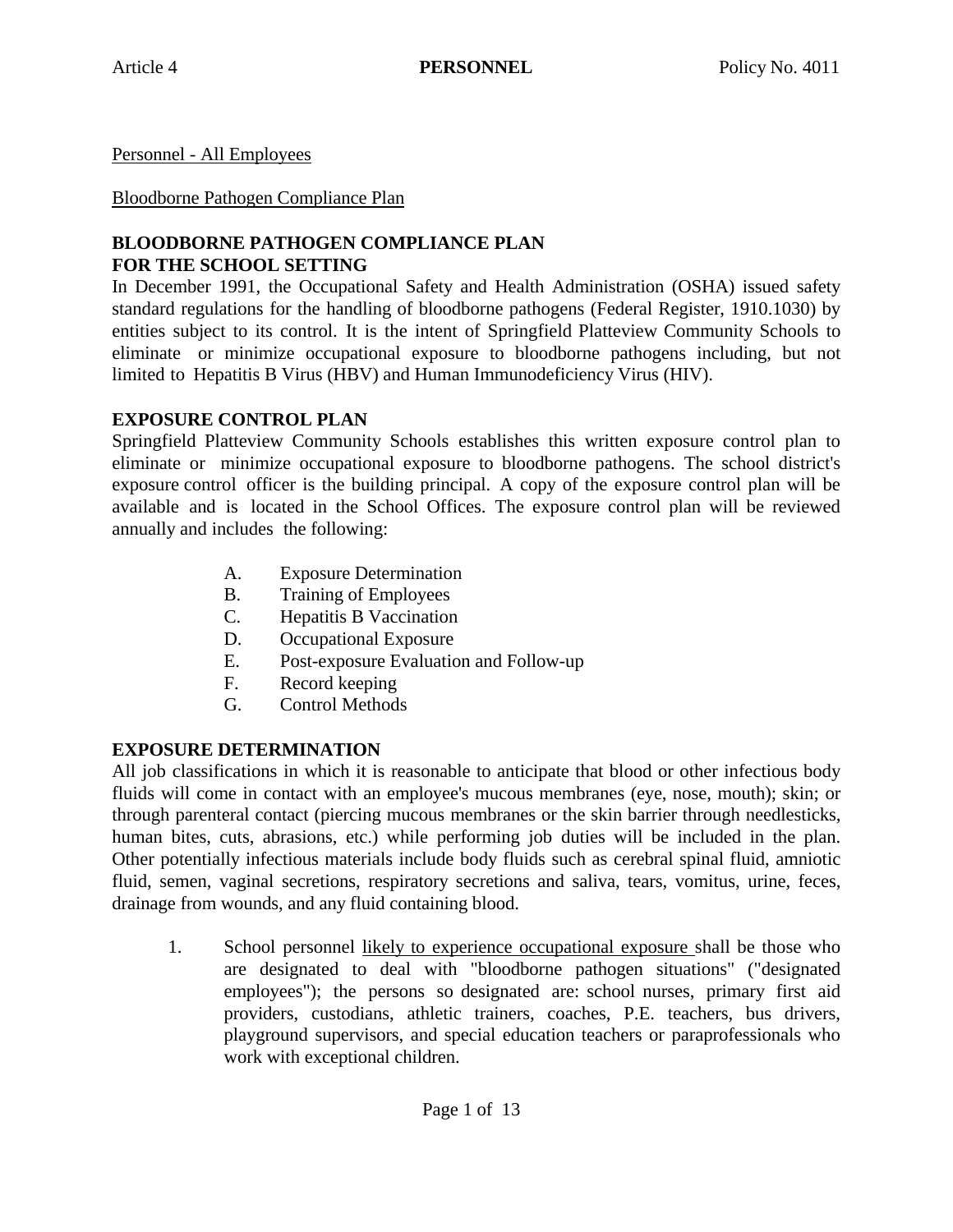Personnel - All Employees

Bloodborne Pathogen Compliance Plan

### **BLOODBORNE PATHOGEN COMPLIANCE PLAN FOR THE SCHOOL SETTING**

In December 1991, the Occupational Safety and Health Administration (OSHA) issued safety standard regulations for the handling of bloodborne pathogens (Federal Register, 1910.1030) by entities subject to its control. It is the intent of Springfield Platteview Community Schools to eliminate or minimize occupational exposure to bloodborne pathogens including, but not limited to Hepatitis B Virus (HBV) and Human Immunodeficiency Virus (HIV).

# **EXPOSURE CONTROL PLAN**

Springfield Platteview Community Schools establishes this written exposure control plan to eliminate or minimize occupational exposure to bloodborne pathogens. The school district's exposure control officer is the building principal. A copy of the exposure control plan will be available and is located in the School Offices. The exposure control plan will be reviewed annually and includes the following:

- A. Exposure Determination
- B. Training of Employees
- C. Hepatitis B Vaccination
- D. Occupational Exposure
- E. Post-exposure Evaluation and Follow-up
- F. Record keeping
- G. Control Methods

# **EXPOSURE DETERMINATION**

All job classifications in which it is reasonable to anticipate that blood or other infectious body fluids will come in contact with an employee's mucous membranes (eye, nose, mouth); skin; or through parenteral contact (piercing mucous membranes or the skin barrier through needlesticks, human bites, cuts, abrasions, etc.) while performing job duties will be included in the plan. Other potentially infectious materials include body fluids such as cerebral spinal fluid, amniotic fluid, semen, vaginal secretions, respiratory secretions and saliva, tears, vomitus, urine, feces, drainage from wounds, and any fluid containing blood.

1. School personnel likely to experience occupational exposure shall be those who are designated to deal with "bloodborne pathogen situations" ("designated employees"); the persons so designated are: school nurses, primary first aid providers, custodians, athletic trainers, coaches, P.E. teachers, bus drivers, playground supervisors, and special education teachers or paraprofessionals who work with exceptional children.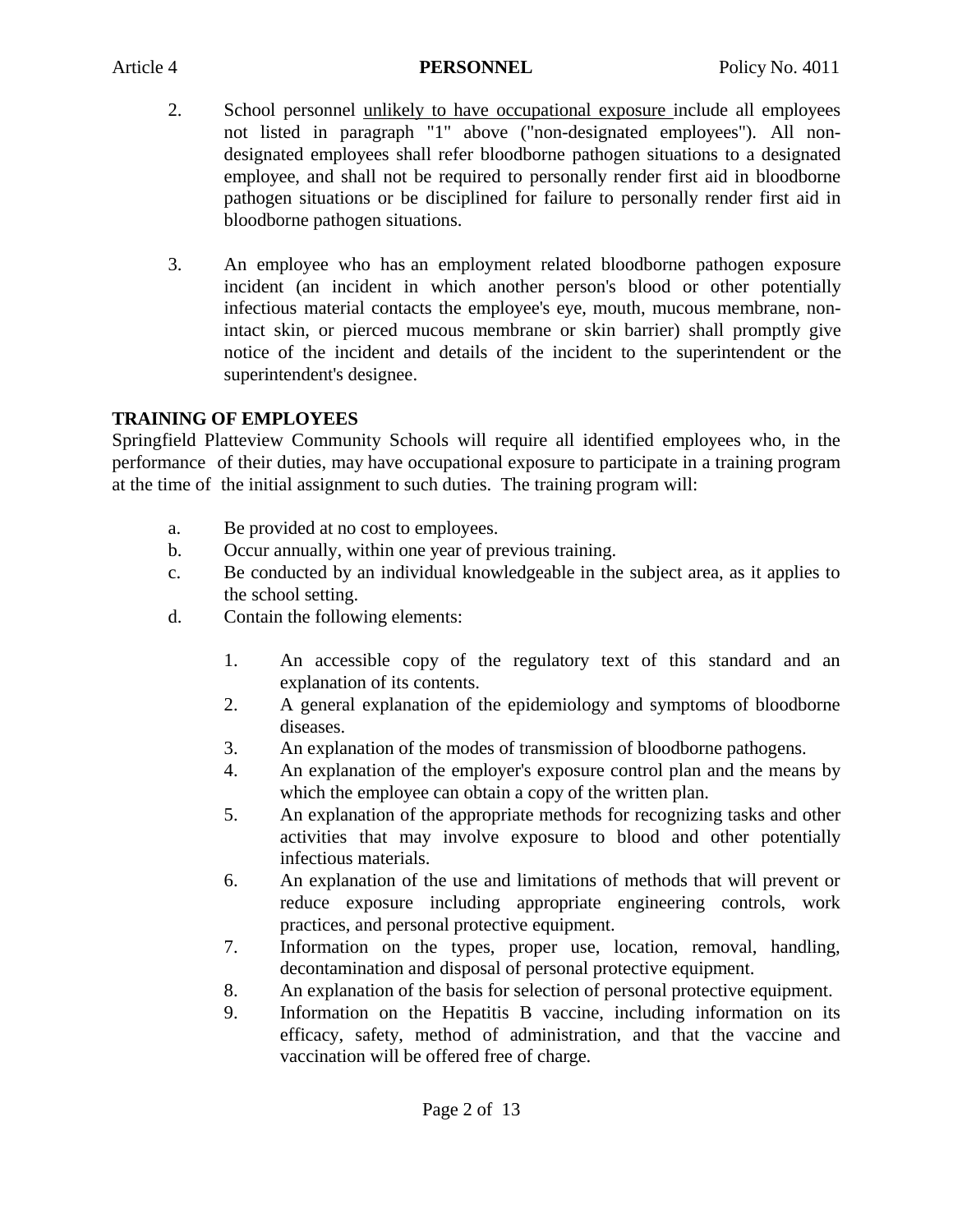- 2. School personnel unlikely to have occupational exposure include all employees not listed in paragraph "1" above ("non-designated employees"). All nondesignated employees shall refer bloodborne pathogen situations to a designated employee, and shall not be required to personally render first aid in bloodborne pathogen situations or be disciplined for failure to personally render first aid in bloodborne pathogen situations.
- 3. An employee who has an employment related bloodborne pathogen exposure incident (an incident in which another person's blood or other potentially infectious material contacts the employee's eye, mouth, mucous membrane, nonintact skin, or pierced mucous membrane or skin barrier) shall promptly give notice of the incident and details of the incident to the superintendent or the superintendent's designee.

# **TRAINING OF EMPLOYEES**

Springfield Platteview Community Schools will require all identified employees who, in the performance of their duties, may have occupational exposure to participate in a training program at the time of the initial assignment to such duties. The training program will:

- a. Be provided at no cost to employees.
- b. Occur annually, within one year of previous training.
- c. Be conducted by an individual knowledgeable in the subject area, as it applies to the school setting.
- d. Contain the following elements:
	- 1. An accessible copy of the regulatory text of this standard and an explanation of its contents.
	- 2. A general explanation of the epidemiology and symptoms of bloodborne diseases.
	- 3. An explanation of the modes of transmission of bloodborne pathogens.
	- 4. An explanation of the employer's exposure control plan and the means by which the employee can obtain a copy of the written plan.
	- 5. An explanation of the appropriate methods for recognizing tasks and other activities that may involve exposure to blood and other potentially infectious materials.
	- 6. An explanation of the use and limitations of methods that will prevent or reduce exposure including appropriate engineering controls, work practices, and personal protective equipment.
	- 7. Information on the types, proper use, location, removal, handling, decontamination and disposal of personal protective equipment.
	- 8. An explanation of the basis for selection of personal protective equipment.
	- 9. Information on the Hepatitis B vaccine, including information on its efficacy, safety, method of administration, and that the vaccine and vaccination will be offered free of charge.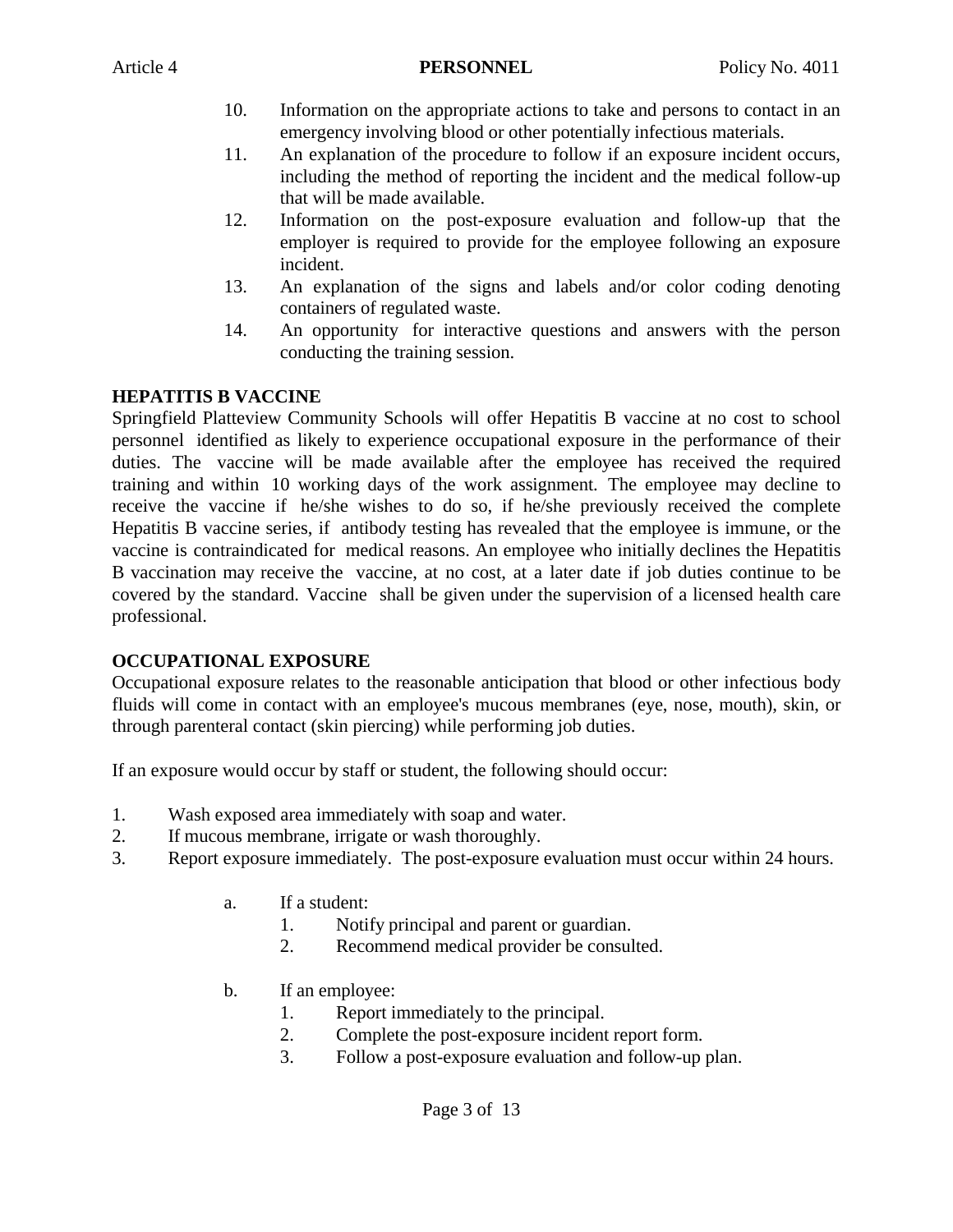- 10. Information on the appropriate actions to take and persons to contact in an emergency involving blood or other potentially infectious materials.
- 11. An explanation of the procedure to follow if an exposure incident occurs, including the method of reporting the incident and the medical follow-up that will be made available.
- 12. Information on the post-exposure evaluation and follow-up that the employer is required to provide for the employee following an exposure incident.
- 13. An explanation of the signs and labels and/or color coding denoting containers of regulated waste.
- 14. An opportunity for interactive questions and answers with the person conducting the training session.

#### **HEPATITIS B VACCINE**

Springfield Platteview Community Schools will offer Hepatitis B vaccine at no cost to school personnel identified as likely to experience occupational exposure in the performance of their duties. The vaccine will be made available after the employee has received the required training and within 10 working days of the work assignment. The employee may decline to receive the vaccine if he/she wishes to do so, if he/she previously received the complete Hepatitis B vaccine series, if antibody testing has revealed that the employee is immune, or the vaccine is contraindicated for medical reasons. An employee who initially declines the Hepatitis B vaccination may receive the vaccine, at no cost, at a later date if job duties continue to be covered by the standard. Vaccine shall be given under the supervision of a licensed health care professional.

#### **OCCUPATIONAL EXPOSURE**

Occupational exposure relates to the reasonable anticipation that blood or other infectious body fluids will come in contact with an employee's mucous membranes (eye, nose, mouth), skin, or through parenteral contact (skin piercing) while performing job duties.

If an exposure would occur by staff or student, the following should occur:

- 1. Wash exposed area immediately with soap and water.
- 2. If mucous membrane, irrigate or wash thoroughly.
- 3. Report exposure immediately. The post-exposure evaluation must occur within 24 hours.
	- a. If a student:
		- 1. Notify principal and parent or guardian.
		- 2. Recommend medical provider be consulted.
	- b. If an employee:
		- 1. Report immediately to the principal.
		- 2. Complete the post-exposure incident report form.
		- 3. Follow a post-exposure evaluation and follow-up plan.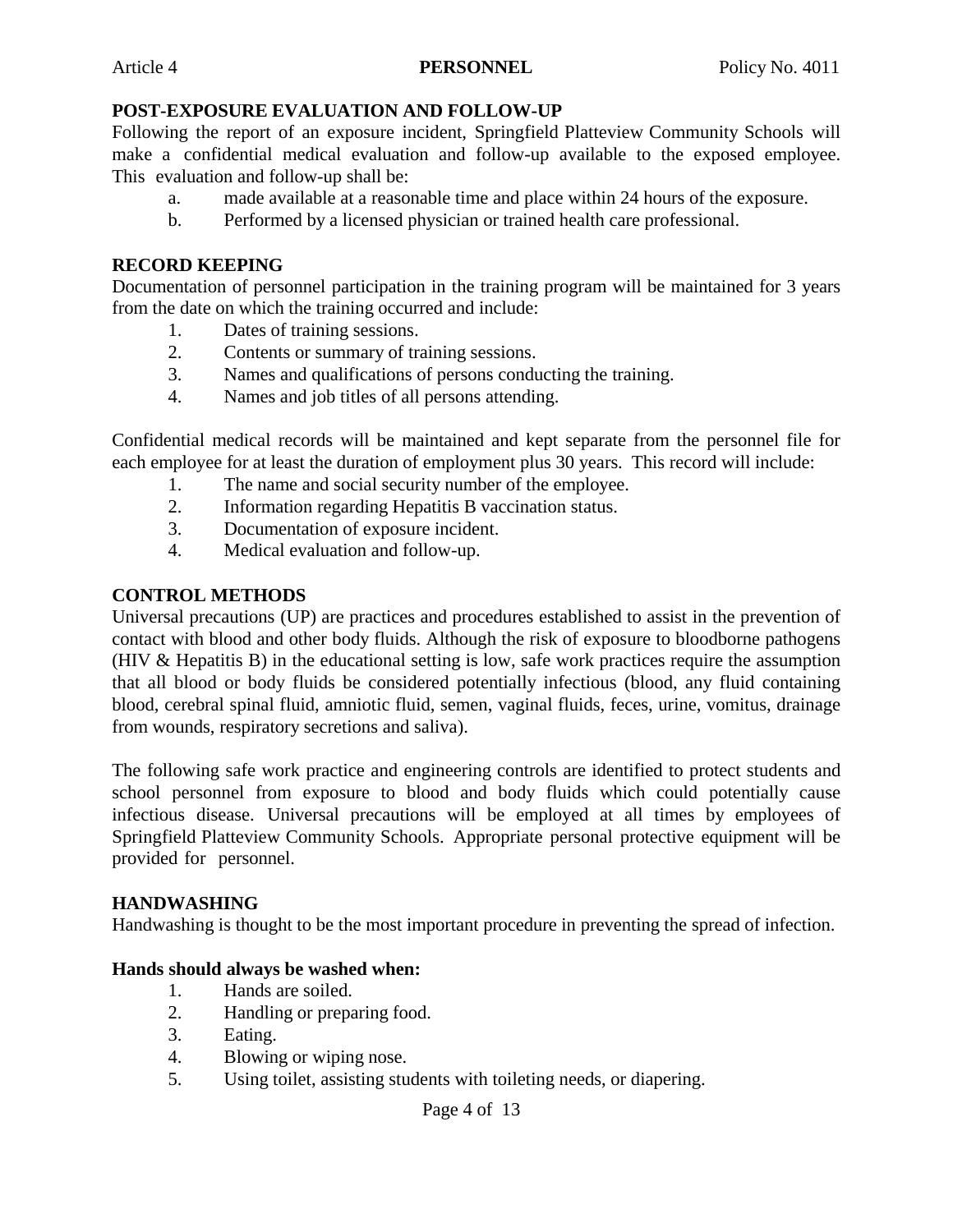#### **POST-EXPOSURE EVALUATION AND FOLLOW-UP**

Following the report of an exposure incident, Springfield Platteview Community Schools will make a confidential medical evaluation and follow-up available to the exposed employee. This evaluation and follow-up shall be:

- a. made available at a reasonable time and place within 24 hours of the exposure.
- b. Performed by a licensed physician or trained health care professional.

#### **RECORD KEEPING**

Documentation of personnel participation in the training program will be maintained for 3 years from the date on which the training occurred and include:

- 1. Dates of training sessions.
- 2. Contents or summary of training sessions.
- 3. Names and qualifications of persons conducting the training.
- 4. Names and job titles of all persons attending.

Confidential medical records will be maintained and kept separate from the personnel file for each employee for at least the duration of employment plus 30 years. This record will include:

- 1. The name and social security number of the employee.
- 2. Information regarding Hepatitis B vaccination status.
- 3. Documentation of exposure incident.
- 4. Medical evaluation and follow-up.

#### **CONTROL METHODS**

Universal precautions (UP) are practices and procedures established to assist in the prevention of contact with blood and other body fluids. Although the risk of exposure to bloodborne pathogens (HIV & Hepatitis B) in the educational setting is low, safe work practices require the assumption that all blood or body fluids be considered potentially infectious (blood, any fluid containing blood, cerebral spinal fluid, amniotic fluid, semen, vaginal fluids, feces, urine, vomitus, drainage from wounds, respiratory secretions and saliva).

The following safe work practice and engineering controls are identified to protect students and school personnel from exposure to blood and body fluids which could potentially cause infectious disease. Universal precautions will be employed at all times by employees of Springfield Platteview Community Schools. Appropriate personal protective equipment will be provided for personnel.

#### **HANDWASHING**

Handwashing is thought to be the most important procedure in preventing the spread of infection.

#### **Hands should always be washed when:**

- 1. Hands are soiled.
- 2. Handling or preparing food.
- 3. Eating.
- 4. Blowing or wiping nose.
- 5. Using toilet, assisting students with toileting needs, or diapering.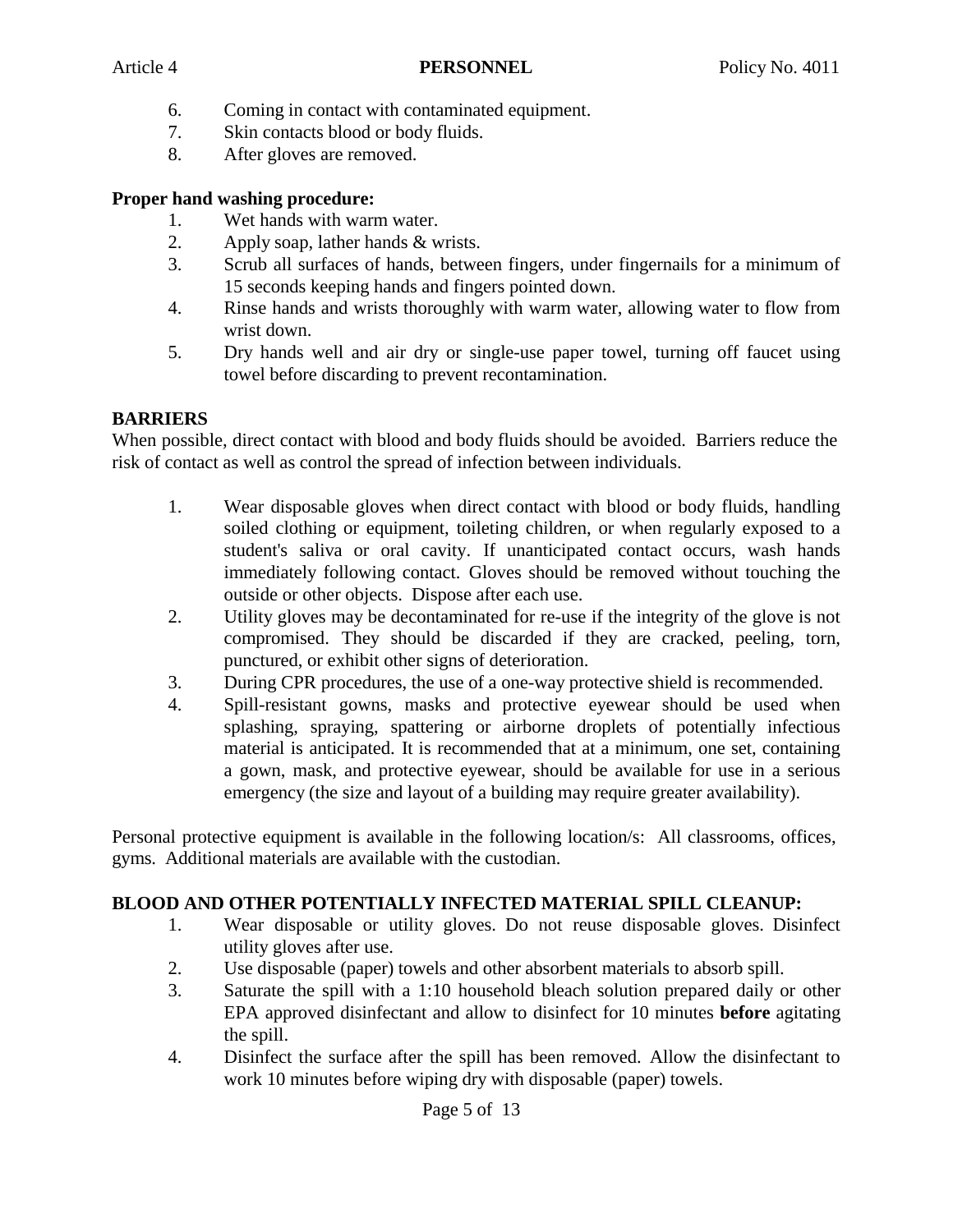- 6. Coming in contact with contaminated equipment.
- 7. Skin contacts blood or body fluids.
- 8. After gloves are removed.

### **Proper hand washing procedure:**

- 1. Wet hands with warm water.
- 2. Apply soap, lather hands & wrists.
- 3. Scrub all surfaces of hands, between fingers, under fingernails for a minimum of 15 seconds keeping hands and fingers pointed down.
- 4. Rinse hands and wrists thoroughly with warm water, allowing water to flow from wrist down.
- 5. Dry hands well and air dry or single-use paper towel, turning off faucet using towel before discarding to prevent recontamination.

# **BARRIERS**

When possible, direct contact with blood and body fluids should be avoided. Barriers reduce the risk of contact as well as control the spread of infection between individuals.

- 1. Wear disposable gloves when direct contact with blood or body fluids, handling soiled clothing or equipment, toileting children, or when regularly exposed to a student's saliva or oral cavity. If unanticipated contact occurs, wash hands immediately following contact. Gloves should be removed without touching the outside or other objects. Dispose after each use.
- 2. Utility gloves may be decontaminated for re-use if the integrity of the glove is not compromised. They should be discarded if they are cracked, peeling, torn, punctured, or exhibit other signs of deterioration.
- 3. During CPR procedures, the use of a one-way protective shield is recommended.
- 4. Spill-resistant gowns, masks and protective eyewear should be used when splashing, spraying, spattering or airborne droplets of potentially infectious material is anticipated. It is recommended that at a minimum, one set, containing a gown, mask, and protective eyewear, should be available for use in a serious emergency (the size and layout of a building may require greater availability).

Personal protective equipment is available in the following location/s: All classrooms, offices, gyms. Additional materials are available with the custodian.

# **BLOOD AND OTHER POTENTIALLY INFECTED MATERIAL SPILL CLEANUP:**

- 1. Wear disposable or utility gloves. Do not reuse disposable gloves. Disinfect utility gloves after use.
- 2. Use disposable (paper) towels and other absorbent materials to absorb spill.
- 3. Saturate the spill with a 1:10 household bleach solution prepared daily or other EPA approved disinfectant and allow to disinfect for 10 minutes **before** agitating the spill.
- 4. Disinfect the surface after the spill has been removed. Allow the disinfectant to work 10 minutes before wiping dry with disposable (paper) towels.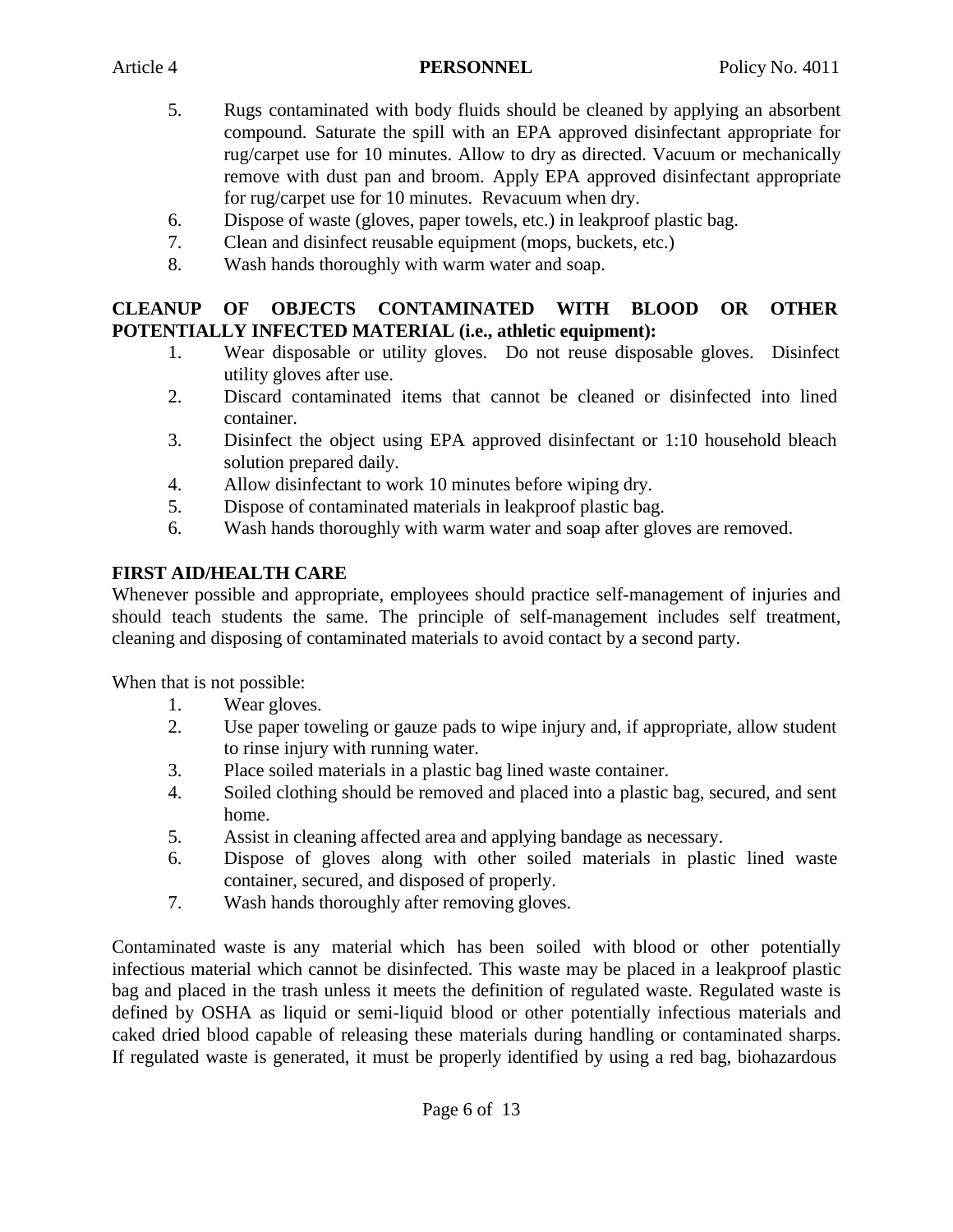- 5. Rugs contaminated with body fluids should be cleaned by applying an absorbent compound. Saturate the spill with an EPA approved disinfectant appropriate for rug/carpet use for 10 minutes. Allow to dry as directed. Vacuum or mechanically remove with dust pan and broom. Apply EPA approved disinfectant appropriate for rug/carpet use for 10 minutes. Revacuum when dry.
- 6. Dispose of waste (gloves, paper towels, etc.) in leakproof plastic bag.
- 7. Clean and disinfect reusable equipment (mops, buckets, etc.)
- 8. Wash hands thoroughly with warm water and soap.

# **CLEANUP OF OBJECTS CONTAMINATED WITH BLOOD OR OTHER POTENTIALLY INFECTED MATERIAL (i.e., athletic equipment):**

- 1. Wear disposable or utility gloves. Do not reuse disposable gloves. Disinfect utility gloves after use.
- 2. Discard contaminated items that cannot be cleaned or disinfected into lined container.
- 3. Disinfect the object using EPA approved disinfectant or 1:10 household bleach solution prepared daily.
- 4. Allow disinfectant to work 10 minutes before wiping dry.
- 5. Dispose of contaminated materials in leakproof plastic bag.
- 6. Wash hands thoroughly with warm water and soap after gloves are removed.

# **FIRST AID/HEALTH CARE**

Whenever possible and appropriate, employees should practice self-management of injuries and should teach students the same. The principle of self-management includes self treatment, cleaning and disposing of contaminated materials to avoid contact by a second party.

When that is not possible:

- 1. Wear gloves.
- 2. Use paper toweling or gauze pads to wipe injury and, if appropriate, allow student to rinse injury with running water.
- 3. Place soiled materials in a plastic bag lined waste container.
- 4. Soiled clothing should be removed and placed into a plastic bag, secured, and sent home.
- 5. Assist in cleaning affected area and applying bandage as necessary.
- 6. Dispose of gloves along with other soiled materials in plastic lined waste container, secured, and disposed of properly.
- 7. Wash hands thoroughly after removing gloves.

Contaminated waste is any material which has been soiled with blood or other potentially infectious material which cannot be disinfected. This waste may be placed in a leakproof plastic bag and placed in the trash unless it meets the definition of regulated waste. Regulated waste is defined by OSHA as liquid or semi-liquid blood or other potentially infectious materials and caked dried blood capable of releasing these materials during handling or contaminated sharps. If regulated waste is generated, it must be properly identified by using a red bag, biohazardous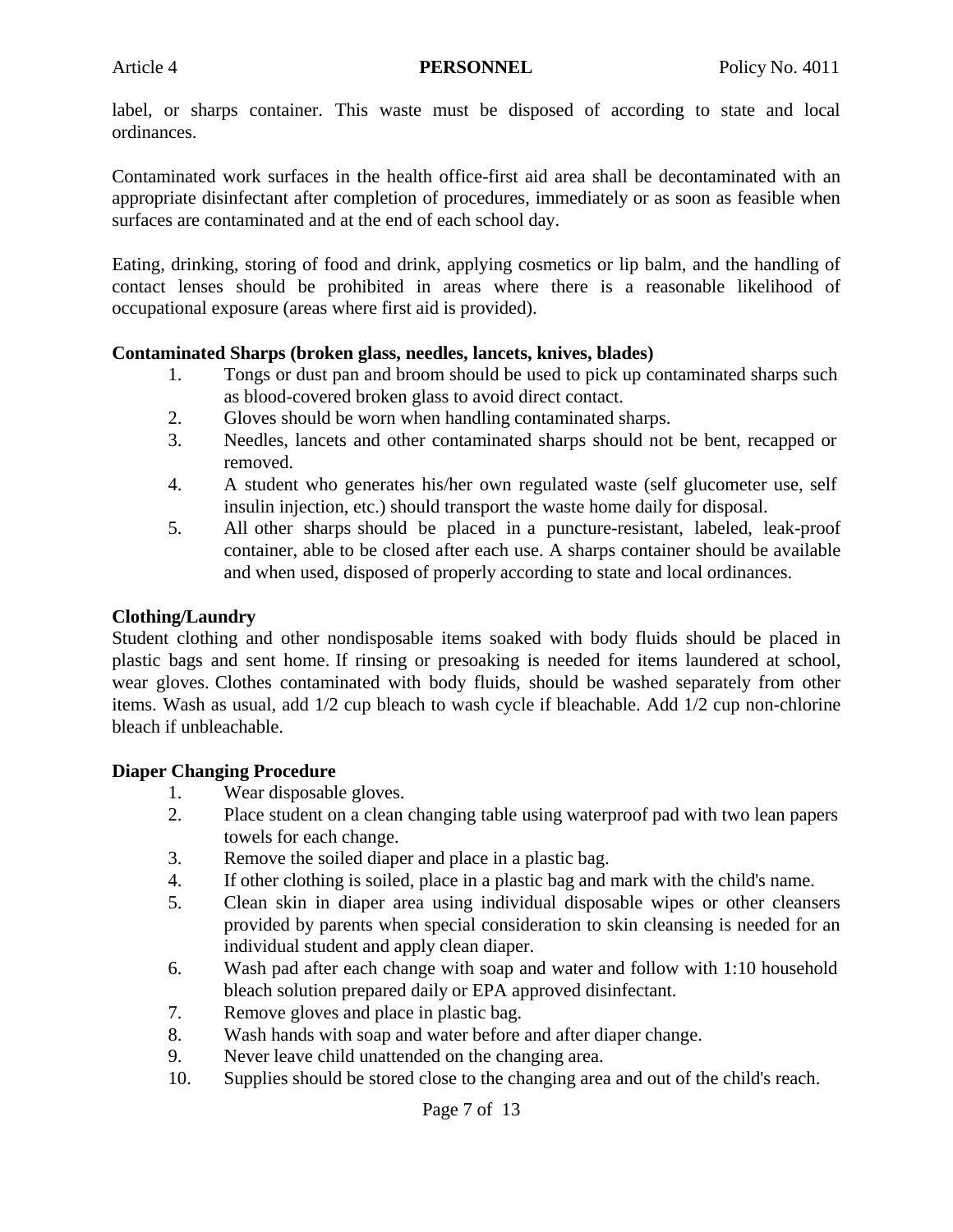label, or sharps container. This waste must be disposed of according to state and local ordinances.

Contaminated work surfaces in the health office-first aid area shall be decontaminated with an appropriate disinfectant after completion of procedures, immediately or as soon as feasible when surfaces are contaminated and at the end of each school day.

Eating, drinking, storing of food and drink, applying cosmetics or lip balm, and the handling of contact lenses should be prohibited in areas where there is a reasonable likelihood of occupational exposure (areas where first aid is provided).

#### **Contaminated Sharps (broken glass, needles, lancets, knives, blades)**

- 1. Tongs or dust pan and broom should be used to pick up contaminated sharps such as blood-covered broken glass to avoid direct contact.
- 2. Gloves should be worn when handling contaminated sharps.
- 3. Needles, lancets and other contaminated sharps should not be bent, recapped or removed.
- 4. A student who generates his/her own regulated waste (self glucometer use, self insulin injection, etc.) should transport the waste home daily for disposal.
- 5. All other sharps should be placed in a puncture-resistant, labeled, leak-proof container, able to be closed after each use. A sharps container should be available and when used, disposed of properly according to state and local ordinances.

#### **Clothing/Laundry**

Student clothing and other nondisposable items soaked with body fluids should be placed in plastic bags and sent home. If rinsing or presoaking is needed for items laundered at school, wear gloves. Clothes contaminated with body fluids, should be washed separately from other items. Wash as usual, add 1/2 cup bleach to wash cycle if bleachable. Add 1/2 cup non-chlorine bleach if unbleachable.

#### **Diaper Changing Procedure**

- 1. Wear disposable gloves.
- 2. Place student on a clean changing table using waterproof pad with two lean papers towels for each change.
- 3. Remove the soiled diaper and place in a plastic bag.
- 4. If other clothing is soiled, place in a plastic bag and mark with the child's name.
- 5. Clean skin in diaper area using individual disposable wipes or other cleansers provided by parents when special consideration to skin cleansing is needed for an individual student and apply clean diaper.
- 6. Wash pad after each change with soap and water and follow with 1:10 household bleach solution prepared daily or EPA approved disinfectant.
- 7. Remove gloves and place in plastic bag.
- 8. Wash hands with soap and water before and after diaper change.
- 9. Never leave child unattended on the changing area.
- 10. Supplies should be stored close to the changing area and out of the child's reach.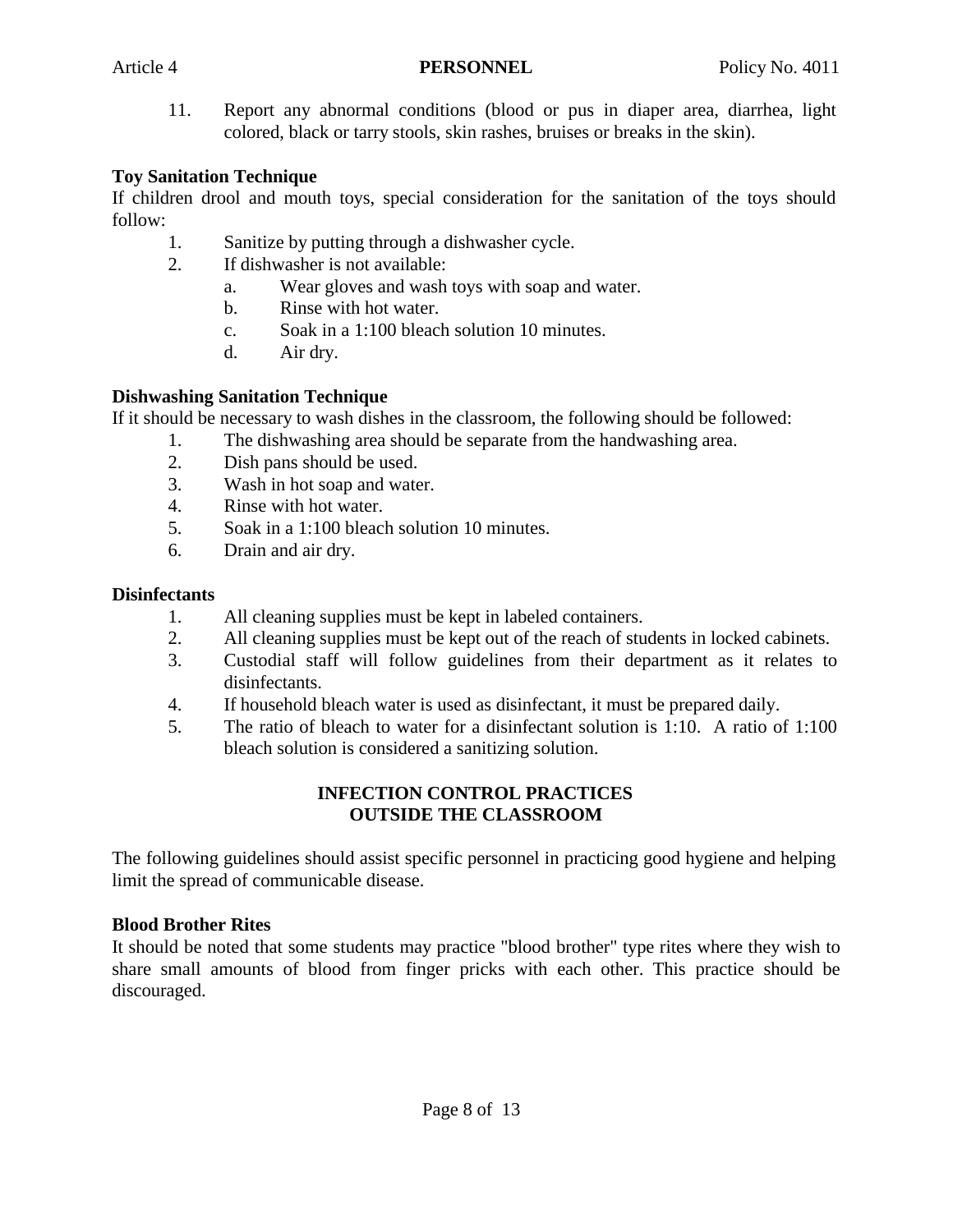11. Report any abnormal conditions (blood or pus in diaper area, diarrhea, light colored, black or tarry stools, skin rashes, bruises or breaks in the skin).

### **Toy Sanitation Technique**

If children drool and mouth toys, special consideration for the sanitation of the toys should follow:

- 1. Sanitize by putting through a dishwasher cycle.
- 2. If dishwasher is not available:
	- a. Wear gloves and wash toys with soap and water.
	- b. Rinse with hot water.
	- c. Soak in a 1:100 bleach solution 10 minutes.
	- d. Air dry.

# **Dishwashing Sanitation Technique**

If it should be necessary to wash dishes in the classroom, the following should be followed:

- 1. The dishwashing area should be separate from the handwashing area.
- 2. Dish pans should be used.
- 3. Wash in hot soap and water.
- 4. Rinse with hot water.
- 5. Soak in a 1:100 bleach solution 10 minutes.
- 6. Drain and air dry.

### **Disinfectants**

- 1. All cleaning supplies must be kept in labeled containers.
- 2. All cleaning supplies must be kept out of the reach of students in locked cabinets.
- 3. Custodial staff will follow guidelines from their department as it relates to disinfectants.
- 4. If household bleach water is used as disinfectant, it must be prepared daily.
- 5. The ratio of bleach to water for a disinfectant solution is 1:10. A ratio of 1:100 bleach solution is considered a sanitizing solution.

### **INFECTION CONTROL PRACTICES OUTSIDE THE CLASSROOM**

The following guidelines should assist specific personnel in practicing good hygiene and helping limit the spread of communicable disease.

# **Blood Brother Rites**

It should be noted that some students may practice "blood brother" type rites where they wish to share small amounts of blood from finger pricks with each other. This practice should be discouraged.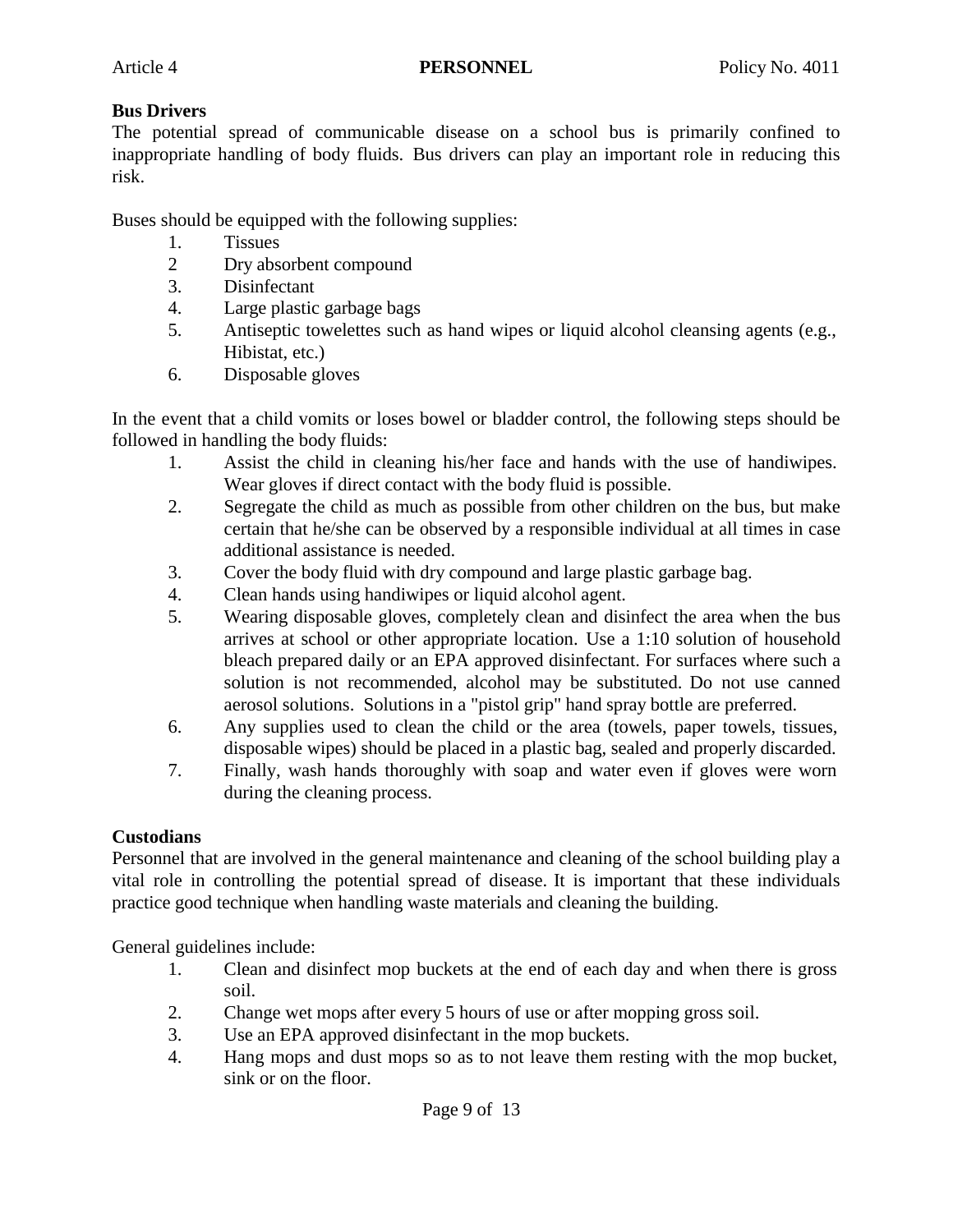### **Bus Drivers**

The potential spread of communicable disease on a school bus is primarily confined to inappropriate handling of body fluids. Bus drivers can play an important role in reducing this risk.

Buses should be equipped with the following supplies:

- 1. Tissues
- 2 Dry absorbent compound
- 3. Disinfectant
- 4. Large plastic garbage bags
- 5. Antiseptic towelettes such as hand wipes or liquid alcohol cleansing agents (e.g., Hibistat, etc.)
- 6. Disposable gloves

In the event that a child vomits or loses bowel or bladder control, the following steps should be followed in handling the body fluids:

- 1. Assist the child in cleaning his/her face and hands with the use of handiwipes. Wear gloves if direct contact with the body fluid is possible.
- 2. Segregate the child as much as possible from other children on the bus, but make certain that he/she can be observed by a responsible individual at all times in case additional assistance is needed.
- 3. Cover the body fluid with dry compound and large plastic garbage bag.
- 4. Clean hands using handiwipes or liquid alcohol agent.
- 5. Wearing disposable gloves, completely clean and disinfect the area when the bus arrives at school or other appropriate location. Use a 1:10 solution of household bleach prepared daily or an EPA approved disinfectant. For surfaces where such a solution is not recommended, alcohol may be substituted. Do not use canned aerosol solutions. Solutions in a "pistol grip" hand spray bottle are preferred.
- 6. Any supplies used to clean the child or the area (towels, paper towels, tissues, disposable wipes) should be placed in a plastic bag, sealed and properly discarded.
- 7. Finally, wash hands thoroughly with soap and water even if gloves were worn during the cleaning process.

# **Custodians**

Personnel that are involved in the general maintenance and cleaning of the school building play a vital role in controlling the potential spread of disease. It is important that these individuals practice good technique when handling waste materials and cleaning the building.

General guidelines include:

- 1. Clean and disinfect mop buckets at the end of each day and when there is gross soil.
- 2. Change wet mops after every 5 hours of use or after mopping gross soil.
- 3. Use an EPA approved disinfectant in the mop buckets.
- 4. Hang mops and dust mops so as to not leave them resting with the mop bucket, sink or on the floor.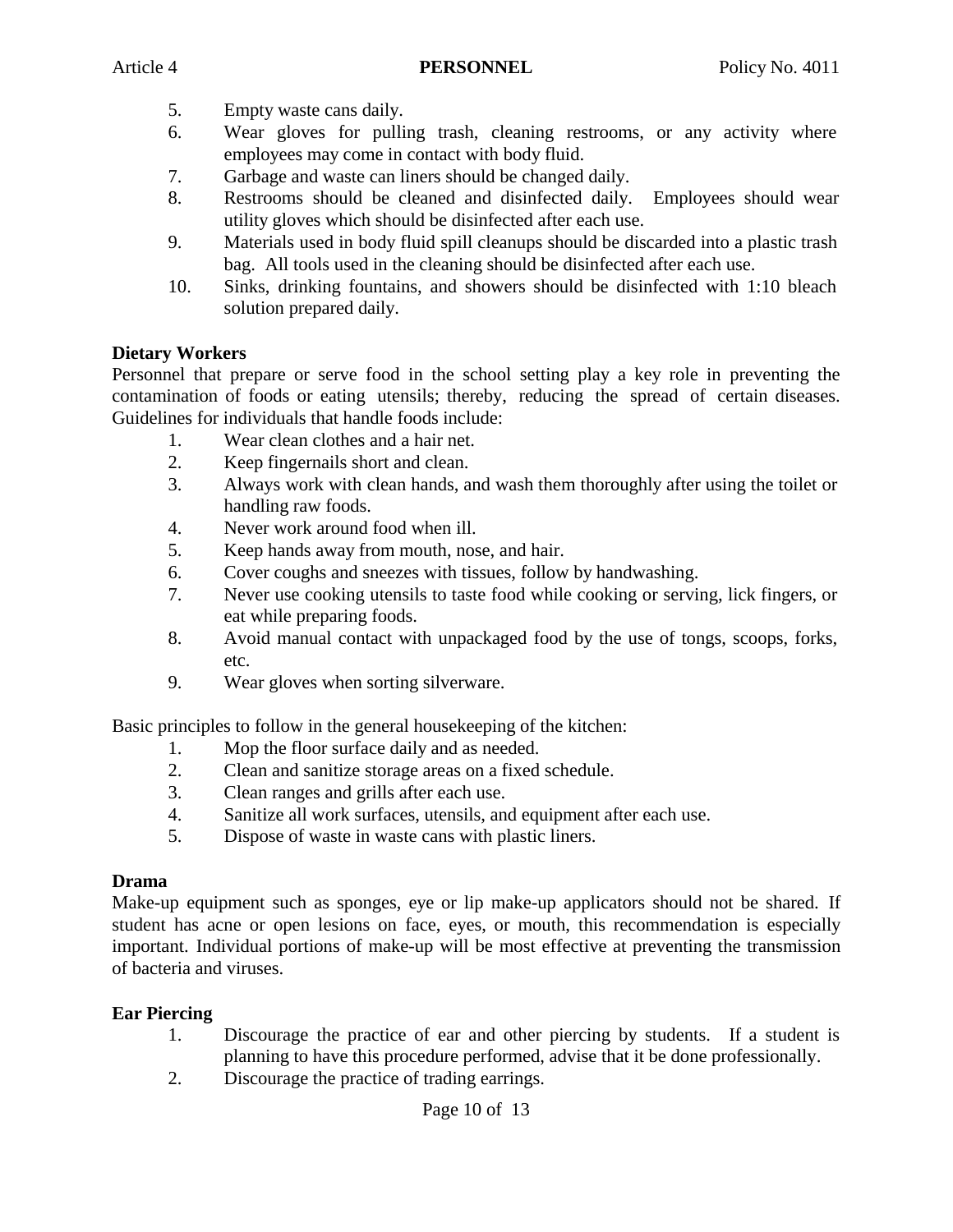- 5. Empty waste cans daily.
- 6. Wear gloves for pulling trash, cleaning restrooms, or any activity where employees may come in contact with body fluid.
- 7. Garbage and waste can liners should be changed daily.
- 8. Restrooms should be cleaned and disinfected daily. Employees should wear utility gloves which should be disinfected after each use.
- 9. Materials used in body fluid spill cleanups should be discarded into a plastic trash bag. All tools used in the cleaning should be disinfected after each use.
- 10. Sinks, drinking fountains, and showers should be disinfected with 1:10 bleach solution prepared daily.

#### **Dietary Workers**

Personnel that prepare or serve food in the school setting play a key role in preventing the contamination of foods or eating utensils; thereby, reducing the spread of certain diseases. Guidelines for individuals that handle foods include:

- 1. Wear clean clothes and a hair net.
- 2. Keep fingernails short and clean.
- 3. Always work with clean hands, and wash them thoroughly after using the toilet or handling raw foods.
- 4. Never work around food when ill.
- 5. Keep hands away from mouth, nose, and hair.
- 6. Cover coughs and sneezes with tissues, follow by handwashing.
- 7. Never use cooking utensils to taste food while cooking or serving, lick fingers, or eat while preparing foods.
- 8. Avoid manual contact with unpackaged food by the use of tongs, scoops, forks, etc.
- 9. Wear gloves when sorting silverware.

Basic principles to follow in the general housekeeping of the kitchen:

- 1. Mop the floor surface daily and as needed.
- 2. Clean and sanitize storage areas on a fixed schedule.
- 3. Clean ranges and grills after each use.
- 4. Sanitize all work surfaces, utensils, and equipment after each use.
- 5. Dispose of waste in waste cans with plastic liners.

#### **Drama**

Make-up equipment such as sponges, eye or lip make-up applicators should not be shared. If student has acne or open lesions on face, eyes, or mouth, this recommendation is especially important. Individual portions of make-up will be most effective at preventing the transmission of bacteria and viruses.

#### **Ear Piercing**

- 1. Discourage the practice of ear and other piercing by students. If a student is planning to have this procedure performed, advise that it be done professionally.
- 2. Discourage the practice of trading earrings.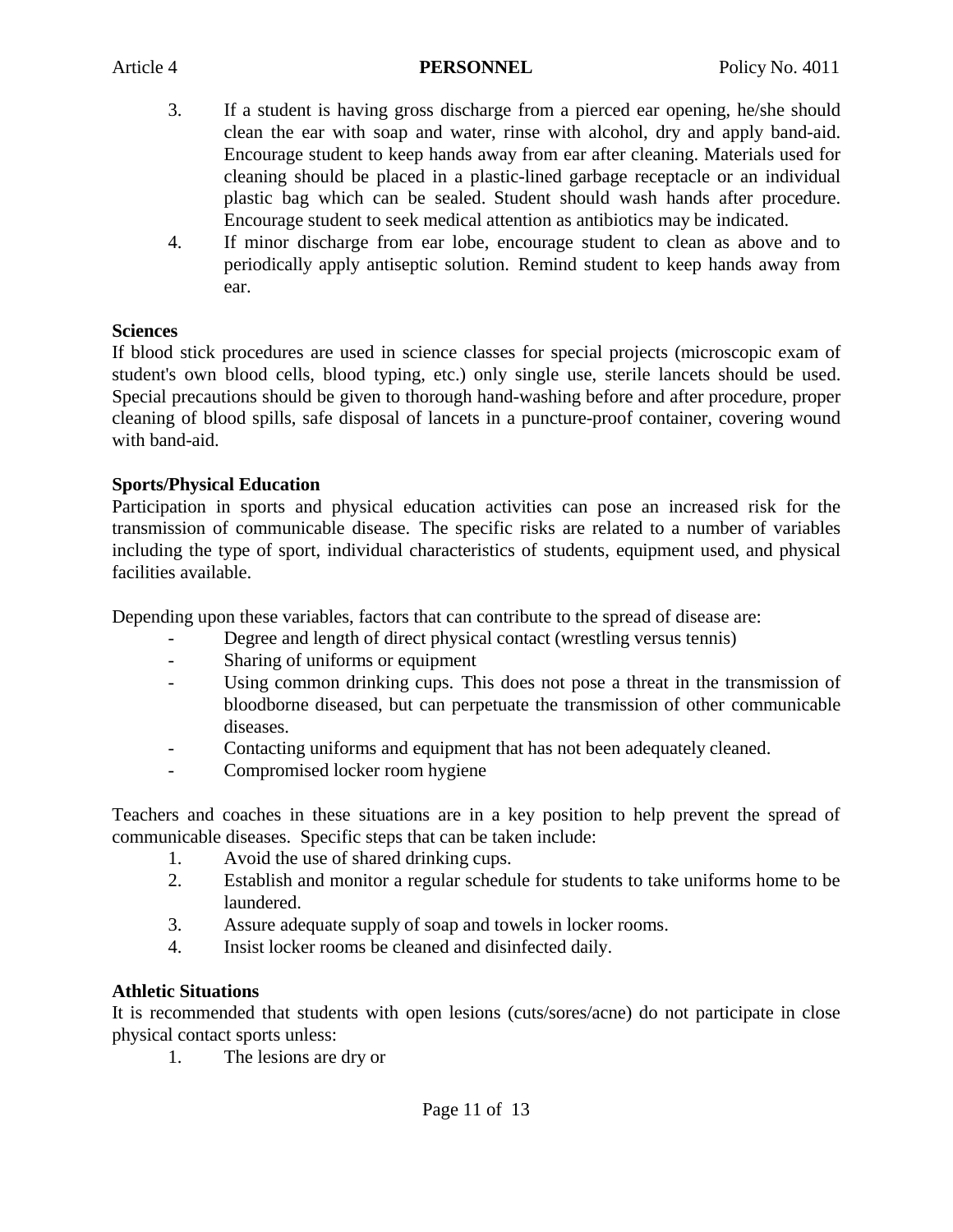- 3. If a student is having gross discharge from a pierced ear opening, he/she should clean the ear with soap and water, rinse with alcohol, dry and apply band-aid. Encourage student to keep hands away from ear after cleaning. Materials used for cleaning should be placed in a plastic-lined garbage receptacle or an individual plastic bag which can be sealed. Student should wash hands after procedure. Encourage student to seek medical attention as antibiotics may be indicated.
- 4. If minor discharge from ear lobe, encourage student to clean as above and to periodically apply antiseptic solution. Remind student to keep hands away from ear.

### **Sciences**

If blood stick procedures are used in science classes for special projects (microscopic exam of student's own blood cells, blood typing, etc.) only single use, sterile lancets should be used. Special precautions should be given to thorough hand-washing before and after procedure, proper cleaning of blood spills, safe disposal of lancets in a puncture-proof container, covering wound with band-aid.

# **Sports/Physical Education**

Participation in sports and physical education activities can pose an increased risk for the transmission of communicable disease. The specific risks are related to a number of variables including the type of sport, individual characteristics of students, equipment used, and physical facilities available.

Depending upon these variables, factors that can contribute to the spread of disease are:

- Degree and length of direct physical contact (wrestling versus tennis)
- Sharing of uniforms or equipment
- Using common drinking cups. This does not pose a threat in the transmission of bloodborne diseased, but can perpetuate the transmission of other communicable diseases.
- Contacting uniforms and equipment that has not been adequately cleaned.
- Compromised locker room hygiene

Teachers and coaches in these situations are in a key position to help prevent the spread of communicable diseases. Specific steps that can be taken include:

- 1. Avoid the use of shared drinking cups.
- 2. Establish and monitor a regular schedule for students to take uniforms home to be laundered.
- 3. Assure adequate supply of soap and towels in locker rooms.
- 4. Insist locker rooms be cleaned and disinfected daily.

# **Athletic Situations**

It is recommended that students with open lesions (cuts/sores/acne) do not participate in close physical contact sports unless:

1. The lesions are dry or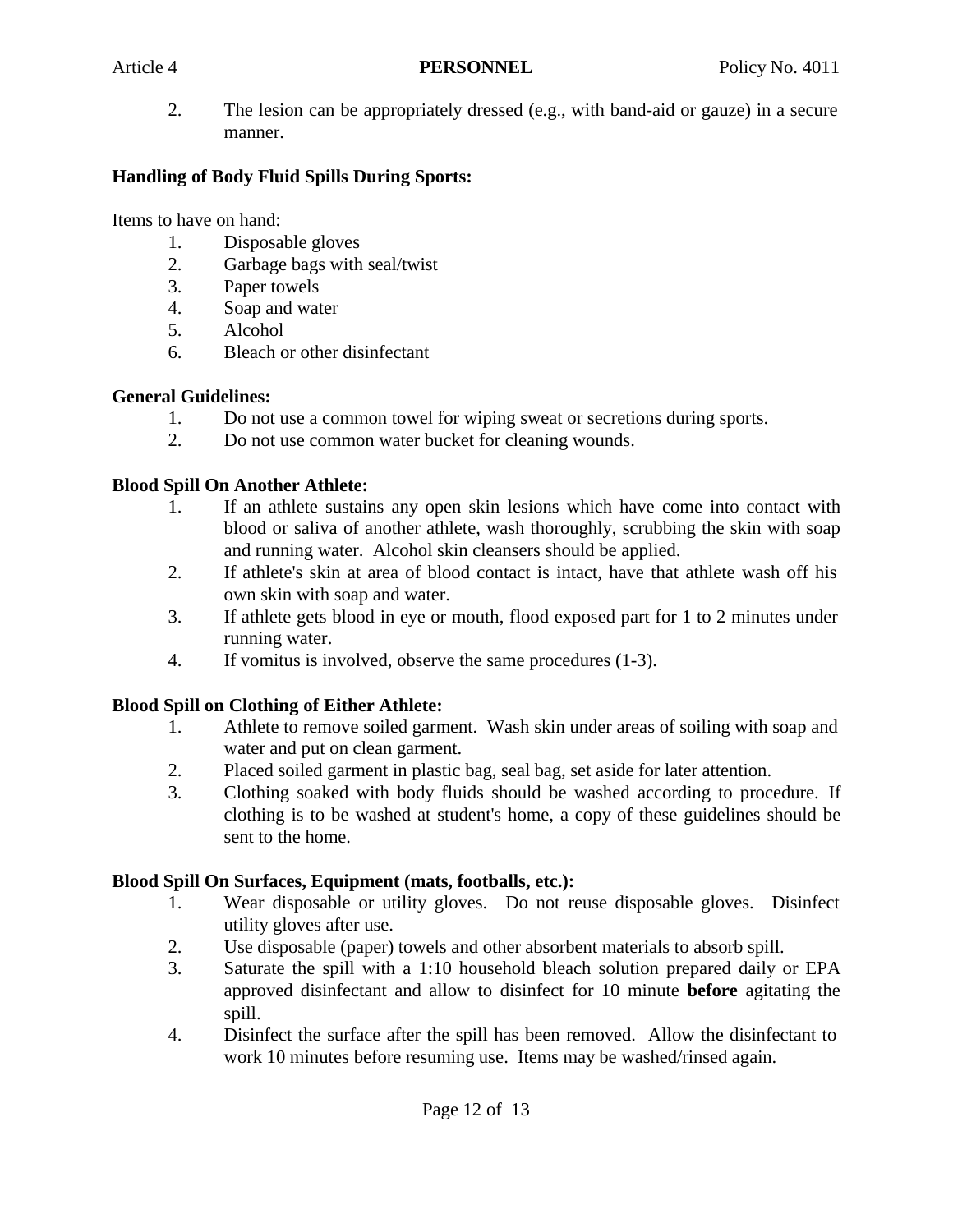2. The lesion can be appropriately dressed (e.g., with band-aid or gauze) in a secure manner.

### **Handling of Body Fluid Spills During Sports:**

Items to have on hand:

- 1. Disposable gloves
- 2. Garbage bags with seal/twist
- 3. Paper towels
- 4. Soap and water
- 5. Alcohol
- 6. Bleach or other disinfectant

# **General Guidelines:**

- 1. Do not use a common towel for wiping sweat or secretions during sports.
- 2. Do not use common water bucket for cleaning wounds.

# **Blood Spill On Another Athlete:**

- 1. If an athlete sustains any open skin lesions which have come into contact with blood or saliva of another athlete, wash thoroughly, scrubbing the skin with soap and running water. Alcohol skin cleansers should be applied.
- 2. If athlete's skin at area of blood contact is intact, have that athlete wash off his own skin with soap and water.
- 3. If athlete gets blood in eye or mouth, flood exposed part for 1 to 2 minutes under running water.
- 4. If vomitus is involved, observe the same procedures (1-3).

# **Blood Spill on Clothing of Either Athlete:**

- 1. Athlete to remove soiled garment. Wash skin under areas of soiling with soap and water and put on clean garment.
- 2. Placed soiled garment in plastic bag, seal bag, set aside for later attention.
- 3. Clothing soaked with body fluids should be washed according to procedure. If clothing is to be washed at student's home, a copy of these guidelines should be sent to the home.

# **Blood Spill On Surfaces, Equipment (mats, footballs, etc.):**

- 1. Wear disposable or utility gloves. Do not reuse disposable gloves. Disinfect utility gloves after use.
- 2. Use disposable (paper) towels and other absorbent materials to absorb spill.
- 3. Saturate the spill with a 1:10 household bleach solution prepared daily or EPA approved disinfectant and allow to disinfect for 10 minute **before** agitating the spill.
- 4. Disinfect the surface after the spill has been removed. Allow the disinfectant to work 10 minutes before resuming use. Items may be washed/rinsed again.